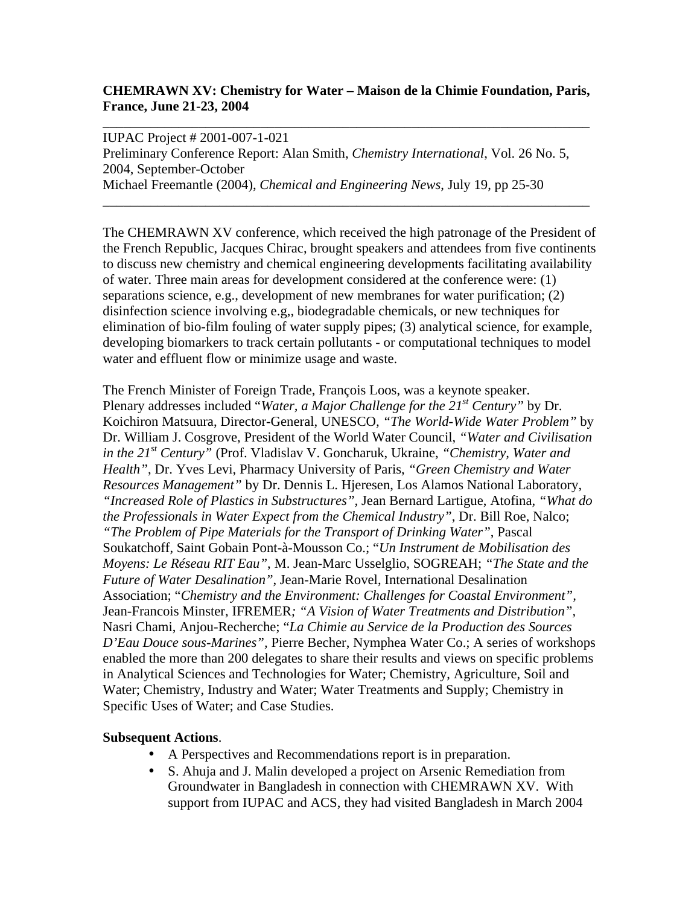## **CHEMRAWN XV: Chemistry for Water – Maison de la Chimie Foundation, Paris, France, June 21-23, 2004**

\_\_\_\_\_\_\_\_\_\_\_\_\_\_\_\_\_\_\_\_\_\_\_\_\_\_\_\_\_\_\_\_\_\_\_\_\_\_\_\_\_\_\_\_\_\_\_\_\_\_\_\_\_\_\_\_\_\_\_\_\_\_\_\_\_\_\_\_\_\_\_

\_\_\_\_\_\_\_\_\_\_\_\_\_\_\_\_\_\_\_\_\_\_\_\_\_\_\_\_\_\_\_\_\_\_\_\_\_\_\_\_\_\_\_\_\_\_\_\_\_\_\_\_\_\_\_\_\_\_\_\_\_\_\_\_\_\_\_\_\_\_\_

IUPAC Project # 2001-007-1-021 Preliminary Conference Report: Alan Smith, *Chemistry International*, Vol. 26 No. 5, 2004, September-October Michael Freemantle (2004), *Chemical and Engineering News*, July 19, pp 25-30

The CHEMRAWN XV conference, which received the high patronage of the President of the French Republic, Jacques Chirac, brought speakers and attendees from five continents to discuss new chemistry and chemical engineering developments facilitating availability of water. Three main areas for development considered at the conference were: (1) separations science, e.g., development of new membranes for water purification; (2) disinfection science involving e.g,, biodegradable chemicals, or new techniques for elimination of bio-film fouling of water supply pipes; (3) analytical science, for example, developing biomarkers to track certain pollutants - or computational techniques to model water and effluent flow or minimize usage and waste.

The French Minister of Foreign Trade, François Loos, was a keynote speaker. Plenary addresses included "*Water, a Major Challenge for the 21st Century"* by Dr. Koichiron Matsuura, Director-General, UNESCO*, "The World-Wide Water Problem"* by Dr. William J. Cosgrove, President of the World Water Council, *"Water and Civilisation in the 21st Century"* (Prof. Vladislav V. Goncharuk, Ukraine, *"Chemistry, Water and Health"*, Dr. Yves Levi, Pharmacy University of Paris, *"Green Chemistry and Water Resources Management"* by Dr. Dennis L. Hjeresen, Los Alamos National Laboratory, *"Increased Role of Plastics in Substructures",* Jean Bernard Lartigue, Atofina*, "What do the Professionals in Water Expect from the Chemical Industry"*, Dr. Bill Roe, Nalco; *"The Problem of Pipe Materials for the Transport of Drinking Water"*, Pascal Soukatchoff, Saint Gobain Pont-à-Mousson Co.; "*Un Instrument de Mobilisation des Moyens: Le Réseau RIT Eau"*, M. Jean-Marc Usselglio, SOGREAH; *"The State and the Future of Water Desalination"*, Jean-Marie Rovel, International Desalination Association; "*Chemistry and the Environment: Challenges for Coastal Environment",*  Jean-Francois Minster, IFREMER*; "A Vision of Water Treatments and Distribution",* Nasri Chami, Anjou-Recherche; "*La Chimie au Service de la Production des Sources D'Eau Douce sous-Marines",* Pierre Becher, Nymphea Water Co.; A series of workshops enabled the more than 200 delegates to share their results and views on specific problems in Analytical Sciences and Technologies for Water; Chemistry, Agriculture, Soil and Water; Chemistry, Industry and Water; Water Treatments and Supply; Chemistry in Specific Uses of Water; and Case Studies.

## **Subsequent Actions**.

- A Perspectives and Recommendations report is in preparation.
- S. Ahuja and J. Malin developed a project on Arsenic Remediation from Groundwater in Bangladesh in connection with CHEMRAWN XV. With support from IUPAC and ACS, they had visited Bangladesh in March 2004